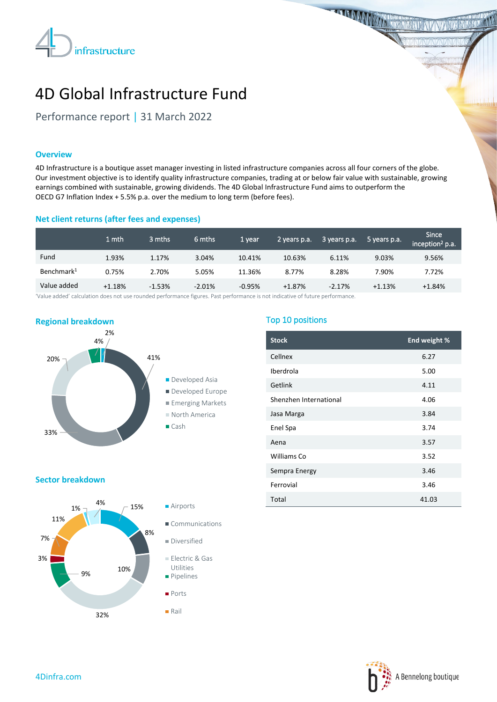

**THE MANUFACTURER** 

# 4D Global Infrastructure Fund

Performance report | 31 March 2022

# **Overview**

4D Infrastructure is a boutique asset manager investing in listed infrastructure companies across all four corners of the globe. Our investment objective is to identify quality infrastructure companies, trading at or below fair value with sustainable, growing earnings combined with sustainable, growing dividends. The 4D Global Infrastructure Fund aims to outperform the OECD G7 Inflation Index + 5.5% p.a. over the medium to long term (before fees).

# **Net client returns (after fees and expenses)**

|                        | 1 mth    | 3 mths   | 6 mths   | 1 vear   | 2 years p.a. | 3 years p.a. | 5 years p.a. | <b>Since</b><br>inception <sup>2</sup> p.a. |
|------------------------|----------|----------|----------|----------|--------------|--------------|--------------|---------------------------------------------|
| Fund                   | 1.93%    | 1.17%    | 3.04%    | 10.41%   | 10.63%       | 6.11%        | 9.03%        | 9.56%                                       |
| Benchmark <sup>1</sup> | 0.75%    | 2.70%    | 5.05%    | 11.36%   | 8.77%        | 8.28%        | 7.90%        | 7.72%                                       |
| Value added            | $+1.18%$ | $-1.53%$ | $-2.01%$ | $-0.95%$ | $+1.87%$     | $-2.17%$     | $+1.13%$     | $+1.84%$                                    |

'Value added' calculation does not use rounded performance figures. Past performance is not indicative of future performance.



# Top 10 positions

| <b>Stock</b>           | End weight % |
|------------------------|--------------|
| Cellnex                | 6.27         |
| Iberdrola              | 5.00         |
| Getlink                | 4.11         |
| Shenzhen International | 4.06         |
| Jasa Marga             | 3.84         |
| Enel Spa               | 3.74         |
| Aena                   | 3.57         |
| Williams Co            | 3.52         |
| Sempra Energy          | 3.46         |
| Ferrovial              | 3.46         |
| Total                  | 41.03        |

### **Sector breakdown**



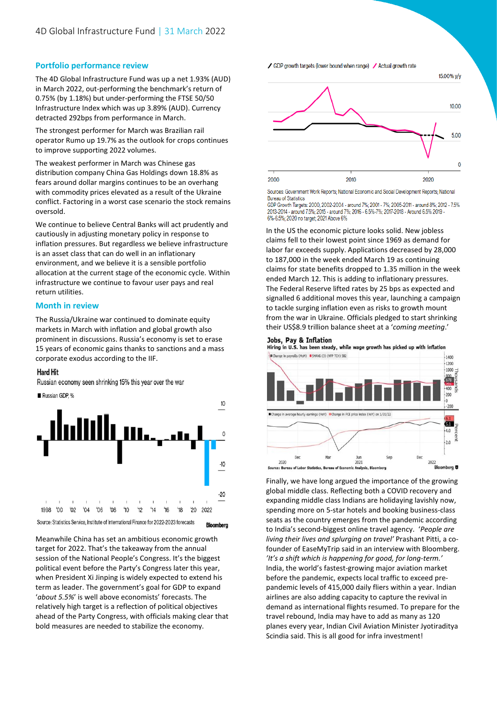# **Portfolio performance review**

The 4D Global Infrastructure Fund was up a net 1.93% (AUD) in March 2022, out-performing the benchmark's return of 0.75% (by 1.18%) but under-performing the FTSE 50/50 Infrastructure Index which was up 3.89% (AUD). Currency detracted 292bps from performance in March.

The strongest performer for March was Brazilian rail operator Rumo up 19.7% as the outlook for crops continues to improve supporting 2022 volumes.

The weakest performer in March was Chinese gas distribution company China Gas Holdings down 18.8% as fears around dollar margins continues to be an overhang with commodity prices elevated as a result of the Ukraine conflict. Factoring in a worst case scenario the stock remains oversold.

We continue to believe Central Banks will act prudently and cautiously in adjusting monetary policy in response to inflation pressures. But regardless we believe infrastructure is an asset class that can do well in an inflationary environment, and we believe it is a sensible portfolio allocation at the current stage of the economic cycle. Within infrastructure we continue to favour user pays and real return utilities.

## **Month in review**

The Russia/Ukraine war continued to dominate equity markets in March with inflation and global growth also prominent in discussions. Russia's economy is set to erase 15 years of economic gains thanks to sanctions and a mass corporate exodus according to the IIF.

#### **Hard Hit**

Russian economy seen shrinking 15% this year over the war



Source: Statistics Service, Institute of International Finance for 2022-2023 forecasts **Bloomberg** 

Meanwhile China has set an ambitious economic growth target for 2022. That's the takeaway from the annual session of the National People's Congress. It's the biggest political event before the Party's Congress later this year, when President Xi Jinping is widely expected to extend his term as leader. The government's goal for GDP to expand '*about 5.5%*' is well above economists' forecasts. The relatively high target is a reflection of political objectives ahead of the Party Congress, with officials making clear that bold measures are needed to stabilize the economy.

#### ✔ GDP growth targets (lower bound when range) ✔ Actual growth rate



Sources: Government Work Reports; National Economic and Social Development Reports; National **Bureau of Statistics** 

GDP Growth Targets: 2000, 2002-2004 - around 7%; 2001 - 7%; 2005-2011 - around 8%; 2012 - 7.5% 2013-2014 - around 7.5%; 2015 - around 7%; 2016 - 6.5%-7%; 2017-2018 - Around 6.5% 2019 -6%-6.5%: 2020 no target: 2021 Above 6%

In the US the economic picture looks solid. New jobless claims fell to their lowest point since 1969 as demand for labor far exceeds supply. Applications decreased by 28,000 to 187,000 in the week ended March 19 as continuing claims for state benefits dropped to 1.35 million in the week ended March 12. This is adding to inflationary pressures. The Federal Reserve lifted rates by 25 bps as expected and signalled 6 additional moves this year, launching a campaign to tackle surging inflation even as risks to growth mount from the war in Ukraine. Officials pledged to start shrinking their US\$8.9 trillion balance sheet at a '*coming meeting*.'

#### **Jobs. Pav & Inflation**

Hiring in U.S. has been steady, while wage growth has picked up with inflation Change in payrolls (MoM) SMAVG (3) (NFP TCH) 582



Finally, we have long argued the importance of the growing global middle class. Reflecting both a COVID recovery and expanding middle class Indians are holidaying lavishly now, spending more on 5-star hotels and booking business-class seats as the country emerges from the pandemic according to India's second-biggest online travel agency. '*People are living their lives and splurging on travel'* Prashant Pitti, a cofounder of EaseMyTrip said in an interview with Bloomberg. *'It's a shift which is happening for good, for long-term.'*  India, the world's fastest-growing major aviation market before the pandemic, expects local traffic to exceed prepandemic levels of 415,000 daily fliers within a year. Indian airlines are also adding capacity to capture the revival in demand as international flights resumed. To prepare for the travel rebound, India may have to add as many as 120 planes every year, Indian Civil Aviation Minister Jyotiraditya Scindia said. This is all good for infra investment!